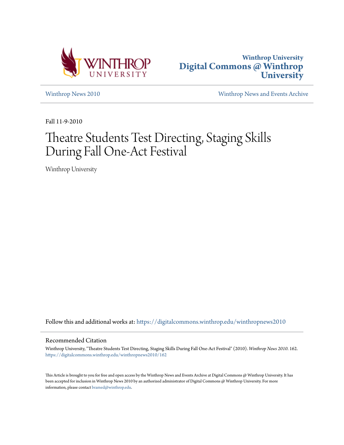



[Winthrop News 2010](https://digitalcommons.winthrop.edu/winthropnews2010?utm_source=digitalcommons.winthrop.edu%2Fwinthropnews2010%2F162&utm_medium=PDF&utm_campaign=PDFCoverPages) [Winthrop News and Events Archive](https://digitalcommons.winthrop.edu/winthropnewsarchives?utm_source=digitalcommons.winthrop.edu%2Fwinthropnews2010%2F162&utm_medium=PDF&utm_campaign=PDFCoverPages)

Fall 11-9-2010

## Theatre Students Test Directing, Staging Skills During Fall One-Act Festival

Winthrop University

Follow this and additional works at: [https://digitalcommons.winthrop.edu/winthropnews2010](https://digitalcommons.winthrop.edu/winthropnews2010?utm_source=digitalcommons.winthrop.edu%2Fwinthropnews2010%2F162&utm_medium=PDF&utm_campaign=PDFCoverPages)

## Recommended Citation

Winthrop University, "Theatre Students Test Directing, Staging Skills During Fall One-Act Festival" (2010). *Winthrop News 2010*. 162. [https://digitalcommons.winthrop.edu/winthropnews2010/162](https://digitalcommons.winthrop.edu/winthropnews2010/162?utm_source=digitalcommons.winthrop.edu%2Fwinthropnews2010%2F162&utm_medium=PDF&utm_campaign=PDFCoverPages)

This Article is brought to you for free and open access by the Winthrop News and Events Archive at Digital Commons @ Winthrop University. It has been accepted for inclusion in Winthrop News 2010 by an authorized administrator of Digital Commons @ Winthrop University. For more information, please contact [bramed@winthrop.edu](mailto:bramed@winthrop.edu).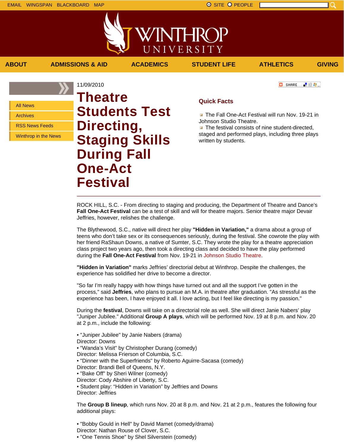

**ABOUT ADMISSIONS & AID ACADEMICS STUDENT LIFE ATHLETICS GIVING**

■ 验母...]

**B** SHARE

All News

Archives

RSS News Feeds

Winthrop in the News

11/09/2010 **Theatre Students Test Directing, Staging Skills During Fall One-Act Festival**

## **Quick Facts**

**The Fall One-Act Festival will run Nov. 19-21 in** Johnson Studio Theatre.

 $\blacksquare$  The festival consists of nine student-directed, staged and performed plays, including three plays written by students.

ROCK HILL, S.C. - From directing to staging and producing, the Department of Theatre and Dance's **Fall One-Act Festival** can be a test of skill and will for theatre majors. Senior theatre major Devair Jeffries, however, relishes the challenge.

The Blythewood, S.C., native will direct her play **"Hidden in Variation,"** a drama about a group of teens who don't take sex or its consequences seriously, during the festival. She cowrote the play with her friend RaShaun Downs, a native of Sumter, S.C. They wrote the play for a theatre appreciation class project two years ago, then took a directing class and decided to have the play performed during the **Fall One-Act Festival** from Nov. 19-21 in Johnson Studio Theatre.

**"Hidden in Variation"** marks Jeffries' directorial debut at Winthrop. Despite the challenges, the experience has solidified her drive to become a director.

"So far I'm really happy with how things have turned out and all the support I've gotten in the process," said **Jeffries**, who plans to pursue an M.A. in theatre after graduation. "As stressful as the experience has been, I have enjoyed it all. I love acting, but I feel like directing is my passion."

During the **festival**, Downs will take on a directorial role as well. She will direct Janie Nabers' play "Juniper Jubilee." Additional **Group A plays**, which will be performed Nov. 19 at 8 p.m. and Nov. 20 at 2 p.m., include the following:

• "Juniper Jubilee" by Janie Nabers (drama) Director: Downs • "Wanda's Visit" by Christopher Durang (comedy) Director: Melissa Frierson of Columbia, S.C. • "Dinner with the Superfriends" by Roberto Aguirre-Sacasa (comedy) Director: Brandi Bell of Queens, N.Y. • "Bake Off" by Sheri Wilner (comedy) Director: Cody Abshire of Liberty, S.C. • Student play: "Hidden in Variation" by Jeffries and Downs Director: Jeffries

The **Group B lineup**, which runs Nov. 20 at 8 p.m. and Nov. 21 at 2 p.m., features the following four additional plays:

• "Bobby Gould in Hell" by David Mamet (comedy/drama) Director: Nathan Rouse of Clover, S.C. • "One Tennis Shoe" by Shel Silverstein (comedy)